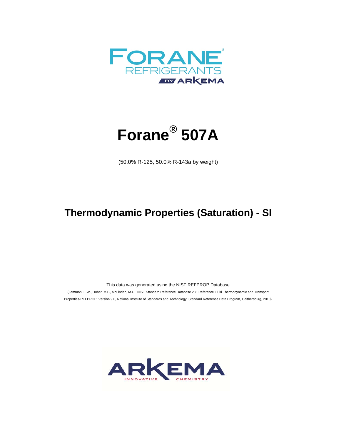



(50.0% R-125, 50.0% R-143a by weight)

## **Thermodynamic Properties (Saturation) - SI**

This data was generated using the NIST REFPROP Database

 (Lemmon, E.W., Huber, M.L., McLinden, M.O. NIST Standard Reference Database 23: Reference Fluid Thermodynamic and Transport Properties-REFPROP, Version 9.0, National Institute of Standards and Technology, Standard Reference Data Program, Gaithersburg, 2010)

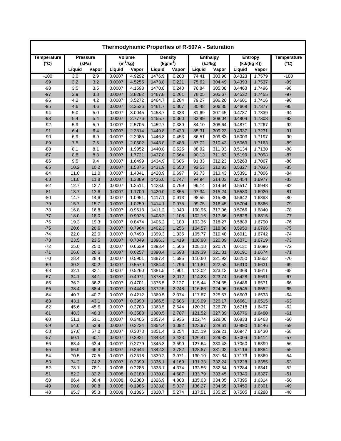| Thermodynamic Properties of R-507A - Saturation |                 |       |            |        |                      |       |                 |        |                |        |                    |
|-------------------------------------------------|-----------------|-------|------------|--------|----------------------|-------|-----------------|--------|----------------|--------|--------------------|
| Temperature                                     | <b>Pressure</b> |       | Volume     |        | <b>Density</b>       |       | <b>Enthalpy</b> |        | <b>Entropy</b> |        | <b>Temperature</b> |
| $(^{\circ}C)$                                   |                 | (kPa) | $(m^3/kg)$ |        | (kg/m <sup>3</sup> ) |       | (kJ/kg)         |        | (kJ/(kg K))    |        | $(^{\circ}C)$      |
|                                                 | Liquid          | Vapor | Liquid     | Vapor  | Liquid               | Vapor | Liquid          | Vapor  | Liquid         | Vapor  |                    |
| $-100$                                          | 3.0             | 2.9   | 0.0007     | 4.9292 | 1476.9               | 0.203 | 74.41           | 303.90 | 0.4323         | 1.7579 | $-100$             |
| $-99$                                           | 3.2             | 3.2   | 0.0007     | 4.5255 | 1473.8               | 0.221 | 75.62           | 304.49 | 0.4393         | 1.7537 | $-99$              |
| $-98$                                           | 3.5             | 3.5   | 0.0007     | 4.1598 | 1470.8               | 0.240 | 76.84           | 305.08 | 0.4463         | 1.7496 | $-98$              |
| $-97$                                           | 3.9             | 3.8   | 0.0007     | 3.8282 | 1467.8               | 0.261 | 78.05           | 305.67 | 0.4532         | 1.7455 | $-97$              |
| $-96$                                           | 4.2             | 4.2   | 0.0007     | 3.5272 | 1464.7               | 0.284 | 79.27           | 306.26 | 0.4601         | 1.7416 | $-96$              |
| $-95$                                           | 4.6             | 4.6   | 0.0007     | 3.2536 | 1461.7               | 0.307 | 80.48           | 306.85 | 0.4669         | 1.7377 | $-95$              |
| $-94$                                           | 5.0             | 5.0   | 0.0007     | 3.0045 | 1458.7               | 0.333 | 81.69           | 307.45 | 0.4737         | 1.7339 | $-94$              |
| $-93$                                           | 5.4             | 5.4   | 0.0007     | 2.7776 | 1455.7               | 0.360 | 82.89           | 308.04 | 0.4804         | 1.7303 | $-93$              |
| $-92$                                           | 5.9             | 5.9   | 0.0007     | 2.5705 | 1452.7               | 0.389 | 84.10           | 308.64 | 0.4871         | 1.7267 | $-92$              |
| $-91$                                           | 6.4             | 6.4   | 0.0007     | 2.3814 | 1449.8               | 0.420 | 85.31           | 309.23 | 0.4937         | 1.7231 | $-91$              |
| $-90$                                           | 6.9             | 6.9   | 0.0007     | 2.2085 | 1446.8               | 0.453 | 86.51           | 309.83 | 0.5003         | 1.7197 | $-90$              |
| $-89$                                           | 7.5             | 7.5   | 0.0007     | 2.0502 | 1443.8               | 0.488 | 87.72           | 310.43 | 0.5069         | 1.7163 | $-89$              |
| $-88$                                           | 8.1             | 8.1   | 0.0007     | 1.9052 | 1440.8               | 0.525 | 88.92           | 311.03 | 0.5134         | 1.7130 | $-88$              |
| $-87$                                           | 8.8             | 8.8   | 0.0007     | 1.7721 | 1437.8               | 0.564 | 90.13           | 311.63 | 0.5199         | 1.7098 | $-87$              |
| $-86$                                           | 9.5             | 9.4   | 0.0007     | 1.6499 | 1434.9               | 0.606 | 91.33           | 312.23 | 0.5263         | 1.7067 | $-86$              |
| $-85$                                           | 10.2            | 10.2  | 0.0007     | 1.5375 | 1431.9               | 0.650 | 92.53           | 312.83 | 0.5327         | 1.7036 | $-85$              |
| $-84$                                           | 11.0            | 11.0  | 0.0007     | 1.4341 | 1428.9               | 0.697 | 93.73           | 313.43 | 0.5391         | 1.7006 | $-84$              |
| $-83$                                           | 11.8            | 11.8  | 0.0007     | 1.3389 | 1426.0               | 0.747 | 94.94           | 314.03 | 0.5454         | 1.6977 | $-83$              |
| $-82$                                           | 12.7            | 12.7  | 0.0007     | 1.2511 | 1423.0               | 0.799 | 96.14           | 314.64 | 0.5517         | 1.6948 | $-82$              |
| $-81$                                           | 13.7            | 13.6  | 0.0007     | 1.1700 | 1420.0               | 0.855 | 97.34           | 315.24 | 0.5580         | 1.6920 | $-81$              |
| $-80$                                           | 14.7            | 14.6  | 0.0007     | 1.0951 | 1417.1               | 0.913 | 98.55           | 315.85 | 0.5642         | 1.6893 | $-80$              |
| $-79$                                           | 15.7            | 15.7  | 0.0007     | 1.0259 | 1414.1               | 0.975 | 99.75           | 316.45 | 0.5704         | 1.6866 | $-79$              |
| $-78$                                           | 16.8            | 16.8  | 0.0007     | 0.9618 | 1411.2               | 1.040 | 100.95          | 317.06 | 0.5766         | 1.6840 | $-78$              |
| $-77$                                           | 18.0            | 18.0  | 0.0007     | 0.9025 | 1408.2               | 1.108 | 102.16          | 317.66 | 0.5828         | 1.6815 | $-77$              |
| $-76$                                           | 19.3            | 19.3  | 0.0007     | 0.8474 | 1405.2               | 1.180 | 103.36          | 318.27 | 0.5889         | 1.6790 | $-76$              |
| $-75$                                           | 20.6            | 20.6  | 0.0007     | 0.7964 | 1402.3               | 1.256 | 104.57          | 318.88 | 0.5950         | 1.6766 | $-75$              |
| $-74$                                           | 22.0            | 22.0  | 0.0007     | 0.7490 | 1399.3               | 1.335 | 105.77          | 319.48 | 0.6011         | 1.6742 | $-74$              |
| $-73$                                           | 23.5            | 23.5  | 0.0007     | 0.7049 | 1396.3               | 1.419 | 106.98          | 320.09 | 0.6071         | 1.6719 | $-73$              |
| $-72$                                           | 25.0            | 25.0  | 0.0007     | 0.6639 | 1393.4               | 1.506 | 108.18          | 320.70 | 0.6131         | 1.6696 | $-72$              |
| $-71$                                           | 26.6            | 26.6  | 0.0007     | 0.6257 | 1390.4               | 1.598 | 109.39          | 321.31 | 0.6191         | 1.6674 | $-71$              |
| $-70$                                           | 28.4            | 28.4  | 0.0007     | 0.5901 | 1387.4               | 1.695 | 110.60          | 321.92 | 0.6250         | 1.6652 | $-70$              |
| $-69$                                           | 30.2            | 30.2  | 0.0007     | 0.5570 | 1384.4               | 1.796 | 111.81          | 322.52 | 0.6310         | 1.6631 | $-69$              |
| $-68$                                           | 32.1            | 32.1  | 0.0007     | 0.5260 | 1381.5               | 1.901 | 113.02          | 323.13 | 0.6369         | 1.6611 | $-68$              |
| $-67$                                           | 34.1            | 34.1  | 0.0007     | 0.4971 | 1378.5               | 2.012 | 114.23          | 323.74 | 0.6428         | 1.6591 | $-67$              |
| $-66$                                           | 36.2            | 36.2  | 0.0007     | 0.4701 | 1375.5               | 2.127 | 115.44          | 324.35 | 0.6486         | 1.6571 | $-66$              |
| $-65$                                           | 38.4            | 38.4  | 0.0007     | 0.4448 | 1372.5               | 2.248 | 116.66          | 324.96 | 0.6545         | 1.6552 | $-65$              |
| -64                                             | 40.7            | 40.7  | 0.0007     | 0.4212 | 1369.5               | 2.374 | 117.87          | 325.57 | 0.6603         | 1.6533 | -64                |
| $-63$                                           | 43.1            | 43.1  | 0.0007     | 0.3990 | 1366.5               | 2.506 | 119.09          | 326.17 | 0.6661         | 1.6515 | $-63$              |
| $-62$                                           | 45.6            | 45.6  | 0.0007     | 0.3783 | 1363.5               | 2.644 | 120.31          | 326.78 | 0.6718         | 1.6497 | $-62$              |
| $-61$                                           | 48.3            | 48.3  | 0.0007     | 0.3588 | 1360.5               | 2.787 | 121.52          | 327.39 | 0.6776         | 1.6480 | $-61$              |
| $-60$                                           | 51.1            | 51.1  | 0.0007     | 0.3406 | 1357.4               | 2.936 | 122.74          | 328.00 | 0.6833         | 1.6463 | $-60$              |
| $-59$                                           | 54.0            | 53.9  | 0.0007     | 0.3234 | 1354.4               | 3.092 | 123.97          | 328.61 | 0.6890         | 1.6446 | $-59$              |
| $-58$                                           | 57.0            | 57.0  | 0.0007     | 0.3073 | 1351.4               | 3.254 | 125.19          | 329.21 | 0.6947         | 1.6430 | $-58$              |
| $-57$                                           | 60.1            | 60.1  | 0.0007     | 0.2921 | 1348.4               | 3.423 | 126.41          | 329.82 | 0.7004         | 1.6414 | $-57$              |
| $-56$                                           | 63.4            | 63.4  | 0.0007     | 0.2779 | 1345.3               | 3.599 | 127.64          | 330.43 | 0.7060         | 1.6399 | $-56$              |
| $-55$                                           | 66.9            | 66.9  | 0.0007     | 0.2644 | 1342.3               | 3.782 | 128.87          | 331.03 | 0.7116         | 1.6384 | $-55$              |
| $-54$                                           | 70.5            | 70.5  | 0.0007     | 0.2518 | 1339.2               | 3.971 | 130.10          | 331.64 | 0.7173         | 1.6369 | $-54$              |
| $-53$                                           | 74.2            | 74.2  | 0.0007     | 0.2399 | 1336.1               | 4.169 | 131.33          | 332.24 | 0.7228         | 1.6355 | $-53$              |
| $-52$                                           | 78.1            | 78.1  | 0.0008     | 0.2286 | 1333.1               | 4.374 | 132.56          | 332.84 | 0.7284         | 1.6341 | $-52$              |
| $-51$                                           | 82.2            | 82.2  | 0.0008     | 0.2180 | 1330.0               | 4.587 | 133.79          | 333.45 | 0.7340         | 1.6327 | $-51$              |
| $-50$                                           | 86.4            | 86.4  | 0.0008     | 0.2080 | 1326.9               | 4.808 | 135.03          | 334.05 | 0.7395         | 1.6314 | $-50$              |
| $-49$                                           | 90.8            | 90.8  | 0.0008     | 0.1985 | 1323.8               | 5.037 | 136.27          | 334.65 | 0.7450         | 1.6301 | $-49$              |
| $-48$                                           | 95.3            | 95.3  | 0.0008     | 0.1896 | 1320.7               | 5.274 | 137.51          | 335.25 | 0.7505         | 1.6288 | -48                |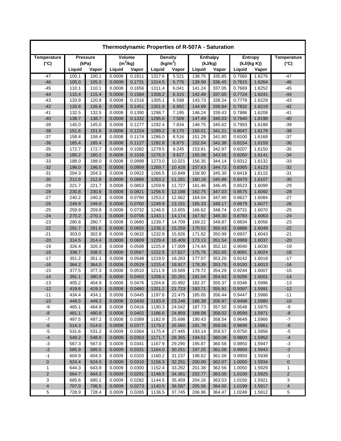| Thermodynamic Properties of R-507A - Saturation |                 |       |            |        |                |                      |                 |         |                |             |                         |
|-------------------------------------------------|-----------------|-------|------------|--------|----------------|----------------------|-----------------|---------|----------------|-------------|-------------------------|
| Temperature                                     | <b>Pressure</b> |       | Volume     |        | <b>Density</b> |                      | <b>Enthalpy</b> |         | <b>Entropy</b> |             | <b>Temperature</b>      |
| $(^{\circ}C)$                                   |                 | (kPa) | $(m^3/kg)$ |        |                | (kg/m <sup>3</sup> ) |                 | (kJ/kg) |                | (kJ/(kg K)) | $(^{\circ}C)$           |
|                                                 | Liquid          | Vapor | Liquid     | Vapor  | Liquid         | Vapor                | Liquid          | Vapor   | Liquid         | Vapor       |                         |
| $-47$                                           | 100.1           | 100.1 | 0.0008     | 0.1811 | 1317.6         | 5.521                | 138.75          | 335.85  | 0.7560         | 1.6276      | $-47$                   |
| $-46$                                           | 105.0           | 105.0 | 0.0008     | 0.1731 | 1314.5         | 5.776                | 139.99          | 336.45  | 0.7615         | 1.6264      | $-46$                   |
| $-45$                                           | 110.1           | 110.1 | 0.0008     | 0.1656 | 1311.4         | 6.041                | 141.24          | 337.05  | 0.7669         | 1.6252      | $-45$                   |
| $-44$                                           | 115.4           | 115.4 | 0.0008     | 0.1584 | 1308.2         | 6.315                | 142.48          | 337.65  | 0.7724         | 1.6241      | $-44$                   |
| $-43$                                           | 120.9           | 120.9 | 0.0008     | 0.1516 | 1305.1         | 6.598                | 143.73          | 338.24  | 0.7778         | 1.6229      | $-43$                   |
| $-42$                                           | 126.6           | 126.6 | 0.0008     | 0.1451 | 1301.9         | 6.892                | 144.99          | 338.84  | 0.7832         | 1.6219      | $-42$                   |
| $-41$                                           | 132.5           | 132.5 | 0.0008     | 0.1390 | 1298.7         | 7.195                | 146.24          | 339.43  | 0.7886         | 1.6208      | $-41$                   |
| $-40$                                           | 138.7           | 138.7 | 0.0008     | 0.1332 | 1295.6         | 7.509                | 147.49          | 340.03  | 0.7940         | 1.6198      | $-40$                   |
| $-39$                                           | 145.0           | 145.0 | 0.0008     | 0.1277 | 1292.4         | 7.834                | 148.75          | 340.62  | 0.7993         | 1.6188      | $-39$                   |
| $-38$                                           | 151.6           | 151.6 | 0.0008     | 0.1224 | 1289.2         | 8.170                | 150.01          | 341.21  | 0.8047         | 1.6178      | $-38$                   |
| $-37$                                           | 158.4           | 158.4 | 0.0008     | 0.1174 | 1286.0         | 8.516                | 151.28          | 341.80  | 0.8100         | 1.6168      | $-37$                   |
| $-36$                                           | 165.4           | 165.4 | 0.0008     | 0.1127 | 1282.8         | 8.875                | 152.54          | 342.38  | 0.8154         | 1.6159      | $-36$                   |
| $-35$                                           | 172.7           | 172.7 | 0.0008     | 0.1082 | 1279.5         | 9.245                | 153.81          | 342.97  | 0.8207         | 1.6150      | $-35$                   |
| $-34$                                           | 180.2           | 180.2 | 0.0008     | 0.1039 | 1276.3         | 9.627                | 155.08          | 343.55  | 0.8260         | 1.6141      | $-34$                   |
| $-33$                                           | 188.0           | 188.0 | 0.0008     | 0.0998 | 1273.0         | 10.021               | 156.35          | 344.14  | 0.8312         | 1.6132      | $-33$                   |
| $-32$                                           | 196.0           | 196.0 | 0.0008     | 0.0959 | 1269.7         | 10.428               | 157.63          | 344.72  | 0.8365         | 1.6123      | $-32$                   |
| $-31$                                           | 204.3           | 204.3 | 0.0008     | 0.0922 | 1266.5         | 10.848               | 158.90          | 345.30  | 0.8418         | 1.6115      | $-31$                   |
| $-30$                                           | 212.9           | 212.8 | 0.0008     | 0.0886 | 1263.2         | 11.281               | 160.18          | 345.88  | 0.8470         | 1.6107      | $-30$                   |
| $-29$                                           | 221.7           | 221.7 | 0.0008     | 0.0853 | 1259.9         | 11.727               | 161.46          | 346.45  | 0.8523         | 1.6099      | $-29$                   |
| $-28$                                           | 230.8           | 230.8 | 0.0008     | 0.0821 | 1256.5         | 12.188               | 162.75          | 347.03  | 0.8575         | 1.6092      | $-28$                   |
| $-27$                                           | 240.2           | 240.2 | 0.0008     | 0.0790 | 1253.2         | 12.662               | 164.04          | 347.60  | 0.8627         | 1.6084      | $-27$                   |
| $-26$                                           | 249.9           | 249.9 | 0.0008     | 0.0760 | 1249.8         | 13.151               | 165.33          | 348.17  | 0.8679         | 1.6077      | $-26$                   |
| $-25$                                           | 259.9           | 259.8 | 0.0008     | 0.0732 | 1246.5         | 13.655               | 166.62          | 348.74  | 0.8731         | 1.6070      | $-25$                   |
| $-24$                                           | 270.2           | 270.1 | 0.0008     | 0.0706 | 1243.1         | 14.174               | 167.92          | 349.30  | 0.8783         | 1.6063      | $-24$                   |
| $-23$                                           | 280.8           | 280.7 | 0.0008     | 0.0680 | 1239.7         | 14.709               | 169.22          | 349.87  | 0.8834         | 1.6056      | $-23$                   |
| $-22$                                           | 291.7           | 291.6 | 0.0008     | 0.0655 | 1236.3         | 15.259               | 170.52          | 350.43  | 0.8886         | 1.6049      | $-22$                   |
| $-21$                                           | 303.0           | 302.8 | 0.0008     | 0.0632 | 1232.9         | 15.826               | 171.82          | 350.99  | 0.8937         | 1.6043      | $-21$                   |
| $-20$                                           | 314.5           | 314.4 | 0.0008     | 0.0609 | 1229.4         | 16.409               | 173.13          | 351.54  | 0.8989         | 1.6037      | $-20$                   |
| $-19$                                           | 326.4           | 326.3 | 0.0008     | 0.0588 | 1225.9         | 17.009               | 174.44          | 352.10  | 0.9040         | 1.6030      | $-19$                   |
| $-18$                                           | 338.7           | 338.5 | 0.0008     | 0.0567 | 1222.5         | 17.627               | 175.76          | 352.65  | 0.9091         | 1.6024      | $-18$                   |
| $-17$                                           | 351.2           | 351.1 | 0.0008     | 0.0548 | 1219.0         | 18.263               | 177.07          | 353.20  | 0.9142         | 1.6018      | $-17$                   |
| $-16$                                           | 364.2           | 364.0 | 0.0008     | 0.0529 | 1215.4         | 18.917               | 178.39          | 353.75  | 0.9193         | 1.6013      | $-16$                   |
| $-15$                                           | 377.5           | 377.3 | 0.0008     | 0.0510 | 1211.9         | 19.589               | 179.72          | 354.29  | 0.9244         | 1.6007      | $-15$                   |
| $-14$                                           | 391.1           | 390.9 | 0.0008     | 0.0493 | 1208.4         | 20.281               | 181.04          | 354.83  | 0.9295         | 1.6001      | $-14$                   |
| $-13$                                           | 405.2           | 404.9 | 0.0008     | 0.0476 | 1204.8         | 20.992               | 182.37          | 355.37  | 0.9346         | 1.5996      | $-13$                   |
| $-12$                                           | 419.6           | 419.3 | 0.0008     | 0.0460 | 1201.2         | 21.723               | 183.71          | 355.91  | 0.9397         | 1.5991      | $-12$                   |
| $-11$                                           | 434.4           | 434.1 | 0.0008     | 0.0445 | 1197.6         | 22.475               | 185.05          | 356.44  | 0.9447         | 1.5986      | $-11$                   |
| $-10$                                           | 449.5           | 449.3 | 0.0008     | 0.0430 | 1193.9         | 23.248               | 186.39          | 356.97  | 0.9498         | 1.5980      | $-10$                   |
| -9                                              | 465.1           | 464.9 | 0.0008     | 0.0416 | 1190.3         | 24.042               | 187.73          | 357.50  | 0.9548         | 1.5975      | -9                      |
| $\mbox{-}8$                                     | 481.1           | 480.8 | 0.0008     | 0.0402 | 1186.6         | 24.859               | 189.08          | 358.02  | 0.9599         | 1.5971      | -8                      |
| $\mathbf{-7}$                                   | 497.5           | 497.2 | 0.0008     | 0.0389 | 1182.9         | 25.698               | 190.43          | 358.54  | 0.9649         | 1.5966      | $-7$                    |
| $-6$                                            | 514.3           | 514.0 | 0.0008     | 0.0377 | 1179.2         | 26.560               | 191.78          | 359.06  | 0.9699         | 1.5961      | -6                      |
| $-5$                                            | 531.6           | 531.2 | 0.0009     | 0.0364 | 1175.4         | 27.445               | 193.14          | 359.57  | 0.9750         | 1.5956      | $-5$                    |
| $^{\text{{\small -4}}}$                         | 549.2           | 548.9 | 0.0009     | 0.0353 | 1171.7         | 28.355               | 194.51          | 360.08  | 0.9800         | 1.5952      | $\textbf{-4}$           |
| $-3$                                            | 567.3           | 567.0 | 0.0009     | 0.0341 | 1167.9         | 29.290               | 195.87          | 360.58  | 0.9850         | 1.5947      | -3                      |
| $-2$                                            | 585.9           | 585.5 | 0.0009     | 0.0331 | 1164.0         | 30.251               | 197.25          | 361.08  | 0.9900         | 1.5943      | $-2$                    |
| $-1$                                            | 604.9           | 604.5 | 0.0009     | 0.0320 | 1160.2         | 31.237               | 198.62          | 361.58  | 0.9950         | 1.5938      | $-1$                    |
| $\pmb{0}$                                       | 624.4           | 624.0 | 0.0009     | 0.0310 | 1156.3         | 32.251               | 200.00          | 362.07  | 1.0000         | 1.5934      | 0                       |
| 1                                               | 644.3           | 643.9 | 0.0009     | 0.0300 | 1152.4         | 33.292               | 201.38          | 362.56  | 1.0050         | 1.5929      | 1                       |
| $\overline{2}$                                  | 664.7           | 664.3 | 0.0009     | 0.0291 | 1148.5         | 34.361               | 202.77          | 363.05  | 1.0100         | 1.5925      | $\overline{2}$          |
| 3                                               | 685.6           | 685.1 | 0.0009     | 0.0282 | 1144.5         | 35.459               | 204.16          | 363.53  | 1.0150         | 1.5921      | 3                       |
| $\overline{\mathbf{4}}$                         | 707.0           | 706.5 | 0.0009     | 0.0273 | 1140.5         | 36.587               | 205.56          | 364.00  | 1.0199         | 1.5917      | $\overline{\mathbf{4}}$ |
| 5                                               | 728.9           | 728.4 | 0.0009     | 0.0265 | 1136.5         | 37.745               | 206.96          | 364.47  | 1.0249         | 1.5912      | 5                       |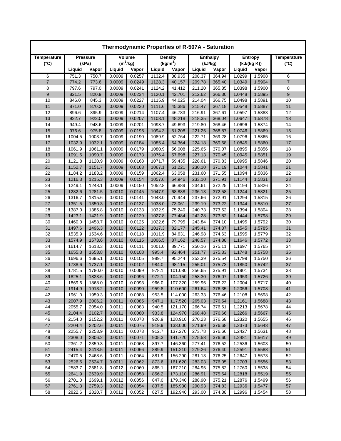| Thermodynamic Properties of R-507A - Saturation |                  |                  |                  |                  |                  |                      |                  |                  |                  |                  |                    |
|-------------------------------------------------|------------------|------------------|------------------|------------------|------------------|----------------------|------------------|------------------|------------------|------------------|--------------------|
| Temperature                                     | <b>Pressure</b>  |                  | Volume           |                  | <b>Density</b>   |                      | <b>Enthalpy</b>  |                  | <b>Entropy</b>   |                  | <b>Temperature</b> |
| $(^{\circ}C)$                                   |                  | (kPa)            | $(m^3/kg)$       |                  |                  | (kg/m <sup>3</sup> ) | (kJ/kg)          |                  | (kJ/(kg K))      |                  | $(^{\circ}C)$      |
|                                                 | Liquid           | Vapor            | Liquid           | Vapor            | Liquid           | Vapor                | Liquid           | Vapor            | Liquid           | Vapor            |                    |
| 6                                               | 751.3            | 750.7            | 0.0009           | 0.0257           | 1132.4           | 38.935               | 208.37           | 364.94           | 1.0299           | 1.5908           | 6                  |
| $\overline{7}$                                  | 774.2            | 773.6            | 0.0009           | 0.0249           | 1128.3           | 40.157               | 209.78           | 365.40           | 1.0349           | 1.5904           | $\overline{7}$     |
| 8                                               | 797.6            | 797.0            | 0.0009           | 0.0241           | 1124.2           | 41.412               | 211.20           | 365.85           | 1.0398           | 1.5900           | 8                  |
| 9                                               | 821.5            | 820.9            | 0.0009           | 0.0234           | 1120.1           | 42.701               | 212.62           | 366.30           | 1.0448           | 1.5895           | 9                  |
| 10                                              | 846.0            | 845.3            | 0.0009           | 0.0227           | 1115.9           | 44.025               | 214.04           | 366.75           | 1.0498           | 1.5891           | 10                 |
| 11                                              | 871.0            | 870.3            | 0.0009           | 0.0220           | 1111.6           | 45.386               | 215.47           | 367.18           | 1.0548           | 1.5887           | 11                 |
| 12                                              | 896.6            | 895.9            | 0.0009           | 0.0214           | 1107.4           | 46.783               | 216.91           | 367.61           | 1.0597           | 1.5883           | 12                 |
| 13                                              | 922.7            | 922.0            | 0.0009           | 0.0207           | 1103.1           | 48.218               | 218.35           | 368.04           | 1.0647           | 1.5878           | 13                 |
| 14                                              | 949.4            | 948.6            | 0.0009           | 0.0201           | 1098.7           | 49.693               | 219.80           | 368.46           | 1.0696           | 1.5874           | 14                 |
| 15                                              | 976.6            | 975.8            | 0.0009           | 0.0195           | 1094.3           | 51.208               | 221.25           | 368.87           | 1.0746           | 1.5869           | 15                 |
| 16                                              | 1004.5           | 1003.7           | 0.0009           | 0.0190           | 1089.9           | 52.764               | 222.71           | 369.28           | 1.0796           | 1.5865           | 16                 |
| 17                                              | 1032.9           | 1032.1           | 0.0009           | 0.0184           | 1085.4           | 54.364               | 224.18           | 369.68           | 1.0845           | 1.5860           | 17                 |
| 18                                              | 1061.9           | 1061.1<br>1090.7 | 0.0009           | 0.0179           | 1080.9           | 56.008               | 225.65           | 370.07           | 1.0895           | 1.5856           | 18                 |
| 19                                              | 1091.6           |                  | 0.0009           | 0.0173           | 1076.4           | 57.698               | 227.13           | 370.45           | 1.0945           | 1.5851<br>1.5846 | 19                 |
| 20<br>21                                        | 1121.8<br>1152.7 | 1120.9<br>1151.7 | 0.0009<br>0.0009 | 0.0168<br>0.0163 | 1071.7<br>1067.1 | 59.435<br>61.221     | 228.61<br>230.10 | 370.83<br>371.19 | 1.0995<br>1.1044 | 1.5841           | 20<br>21           |
| 22                                              | 1184.2           | 1183.2           | 0.0009           | 0.0159           | 1062.4           | 63.058               | 231.60           | 371.55           | 1.1094           | 1.5836           | 22                 |
| 23                                              | 1216.3           | 1215.3           | 0.0009           | 0.0154           | 1057.6           | 64.946               | 233.10           | 371.91           | 1.1144           | 1.5831           | 23                 |
| 24                                              | 1249.1           | 1248.1           | 0.0009           | 0.0150           | 1052.8           | 66.889               | 234.61           | 372.25           | 1.1194           | 1.5826           | 24                 |
| 25                                              | 1282.6           | 1281.5           | 0.0010           | 0.0145           | 1047.9           | 68.888               | 236.13           | 372.58           | 1.1244           | 1.5821           | 25                 |
| 26                                              | 1316.7           | 1315.6           | 0.0010           | 0.0141           | 1043.0           | 70.944               | 237.66           | 372.91           | 1.1294           | 1.5815           | 26                 |
| 27                                              | 1351.5           | 1350.3           | 0.0010           | 0.0137           | 1038.0           | 73.061               | 239.19           | 373.22           | 1.1344           | 1.5810           | 27                 |
| 28                                              | 1387.0           | 1385.8           | 0.0010           | 0.0133           | 1032.9           | 75.240               | 240.73           | 373.52           | 1.1394           | 1.5804           | 28                 |
| 29                                              | 1423.1           | 1421.9           | 0.0010           | 0.0129           | 1027.8           | 77.484               | 242.28           | 373.82           | 1.1444           | 1.5798           | 29                 |
| 30                                              | 1460.0           | 1458.7           | 0.0010           | 0.0125           | 1022.6           | 79.795               | 243.84           | 374.10           | 1.1495           | 1.5792           | 30                 |
| 31                                              | 1497.6           | 1496.3           | 0.0010           | 0.0122           | 1017.3           | 82.177               | 245.41           | 374.37           | 1.1545           | 1.5785           | 31                 |
| 32                                              | 1535.9           | 1534.6           | 0.0010           | 0.0118           | 1011.9           | 84.631               | 246.98           | 374.63           | 1.1595           | 1.5779           | 32                 |
| 33                                              | 1574.9           | 1573.6           | 0.0010           | 0.0115           | 1006.5           | 87.162               | 248.57           | 374.88           | 1.1646           | 1.5772           | 33                 |
| 34                                              | 1614.7           | 1613.3           | 0.0010           | 0.0111           | 1001.0           | 89.771               | 250.16           | 375.11           | 1.1697           | 1.5765           | 34                 |
| 35                                              | 1655.3           | 1653.8           | 0.0010           | 0.0108           | 995.4            | 92.464               | 251.77           | 375.33           | 1.1748           | 1.5758           | 35                 |
| 36                                              | 1696.6           | 1695.1           | 0.0010           | 0.0105           | 989.7            | 95.244               | 253.39           | 375.54           | 1.1799           | 1.5750           | 36                 |
| 37                                              | 1738.6           | 1737.1           | 0.0010           | 0.0102           | 984.0            | 98.115               | 255.01           | 375.73           | 1.1850           | 1.5742           | 37                 |
| 38                                              | 1781.5           | 1780.0           | 0.0010           | 0.0099           | 978.1            | 101.080              | 256.65           | 375.91           | 1.1901           | 1.5734           | 38                 |
| 39                                              | 1825.1           | 1823.6           | 0.0010           | 0.0096           | 972.1            | 104.150              | 258.30           | 376.07           | 1.1953           | 1.5726           | 39                 |
| 40                                              | 1869.6           | 1868.0           | 0.0010           | 0.0093           | 966.0            | 107.320              | 259.96           | 376.22           | 1.2004           | 1.5717           | 40                 |
| 41                                              | 1914.9           | 1913.2           | 0.0010           | 0.0090           | 959.8            | 110.600              | 261.64           | 376.35           | 1.2056           | 1.5708           | 41                 |
| 42                                              | 1961.0           | 1959.3           | 0.0010           | 0.0088           | 953.5            | 114.000              | 263.33           | 376.46           | 1.2108           | 1.5698           | 42                 |
| 43                                              | 2007.9           | 2006.2           | 0.0011           | 0.0085           | 947.1            | 117.520              | 265.03           | 376.54           | 1.2161           | 1.5688           | 43                 |
| 44                                              | 2055.7           | 2054.0           | 0.0011           | 0.0083           | 940.5            | 121.170              | 266.74           | 376.61           | 1.2213           | 1.5678           | 44                 |
| 45                                              | 2104.4           | 2102.7           | 0.0011           | 0.0080           | 933.8            | 124.970              | 268.48           | 376.66           | 1.2266           | 1.5667           | 45                 |
| 46                                              | 2154.0           | 2152.2           | 0.0011           | 0.0078           | 926.9            | 128.910              | 270.23           | 376.68           | 1.2320           | 1.5655           | 46                 |
| 47                                              | 2204.4           | 2202.6           | 0.0011           | 0.0075           | 919.9            | 133.000              | 271.99           | 376.68           | 1.2373           | 1.5643           | 47                 |
| 48                                              | 2255.7           | 2253.9           | 0.0011           | 0.0073           | 912.7            | 137.270              | 273.78           | 376.66           | 1.2427           | 1.5631           | 48                 |
| 49                                              | 2308.0           | 2306.2           | 0.0011           | 0.0071           | 905.3            | 141.720              | 275.58           | 376.60           | 1.2481           | 1.5617           | 49                 |
| 50                                              | 2361.2           | 2359.3           | 0.0011           | 0.0068           | 897.7            | 146.360              | 277.41           | 376.52           | 1.2536           | 1.5603           | 50                 |
| 51<br>52                                        | 2415.4<br>2470.5 | 2413.5<br>2468.6 | 0.0011<br>0.0011 | 0.0066<br>0.0064 | 889.9            | 151.210<br>156.290   | 279.26<br>281.13 | 376.40<br>376.25 | 1.2591<br>1.2647 | 1.5588           | 51<br>52           |
| 53                                              |                  | 2524.7           | 0.0011           | 0.0062           | 881.9            |                      |                  |                  |                  | 1.5573           | 53                 |
| 54                                              | 2526.6<br>2583.7 | 2581.8           | 0.0012           | 0.0060           | 873.6            | 161.620<br>167.210   | 283.03<br>284.95 | 376.05<br>375.82 | 1.2703<br>1.2760 | 1.5556           | 54                 |
| 55                                              | 2641.9           | 2639.9           | 0.0012           | 0.0058           | 865.1<br>856.2   | 173.110              | 286.91           | 375.54           | 1.2818           | 1.5538<br>1.5519 | 55                 |
| 56                                              | 2701.0           | 2699.1           | 0.0012           | 0.0056           | 847.0            | 179.340              | 288.90           | 375.21           | 1.2876           | 1.5499           | 56                 |
| 57                                              | 2761.3           | 2759.3           | 0.0012           | 0.0054           | 837.5            | 185.930              | 290.93           | 374.83           | 1.2936           | 1.5477           | 57                 |
| 58                                              | 2822.6           | 2820.7           | 0.0012           | 0.0052           | 827.5            | 192.940              | 293.00           | 374.38           | 1.2996           | 1.5454           | 58                 |